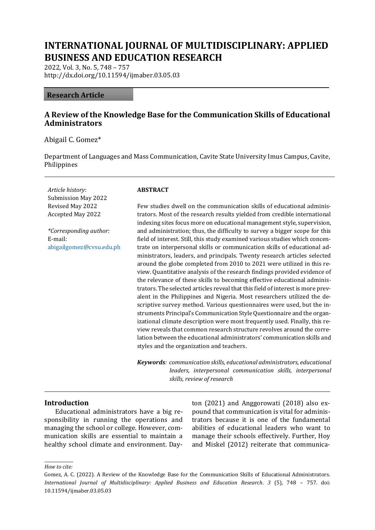# **INTERNATIONAL JOURNAL OF MULTIDISCIPLINARY: APPLIED BUSINESS AND EDUCATION RESEARCH**

2022, Vol. 3, No. 5, 748 – 757 http://dx.doi.org/10.11594/ijmaber.03.05.03

#### **Research Article**

## **A Review of the Knowledge Base for the Communication Skills of Educational Administrators**

Abigail C. Gomez\*

Department of Languages and Mass Communication, Cavite State University Imus Campus, Cavite, Philippines

*Article history*: Submission May 2022 Revised May 2022 Accepted May 2022

*\*Corresponding author:* E-mail: [abigailgomez@cvsu.edu.ph](mailto:abigailgomez@cvsu.edu.ph)

#### **ABSTRACT**

Few studies dwell on the communication skills of educational administrators. Most of the research results yielded from credible international indexing sites focus more on educational management style, supervision, and administration; thus, the difficulty to survey a bigger scope for this field of interest. Still, this study examined various studies which concentrate on interpersonal skills or communication skills of educational administrators, leaders, and principals. Twenty research articles selected around the globe completed from 2010 to 2021 were utilized in this review. Quantitative analysis of the research findings provided evidence of the relevance of these skills to becoming effective educational administrators. The selected articles reveal that this field of interest is more prevalent in the Philippines and Nigeria. Most researchers utilized the descriptive survey method. Various questionnaires were used, but the instruments Principal's Communication Style Questionnaire and the organizational climate description were most frequently used. Finally, this review reveals that common research structure revolves around the correlation between the educational administrators' communication skills and styles and the organization and teachers.

*Keywords: communication skills, educational administrators, educational leaders, interpersonal communication skills, interpersonal skills, review of research*

#### **Introduction**

Educational administrators have a big responsibility in running the operations and managing the school or college. However, communication skills are essential to maintain a healthy school climate and environment. Dayton (2021) and Anggorowati (2018) also expound that communication is vital for administrators because it is one of the fundamental abilities of educational leaders who want to manage their schools effectively. Further, Hoy and Miskel (2012) reiterate that communica-

*How to cite:*

Gomez, A. C. (2022). A Review of the Knowledge Base for the Communication Skills of Educational Administrators. *International Journal of Multidisciplinary: Applied Business and Education Research*. *3* (5), 748 – 757. doi: 10.11594/ijmaber.03.05.03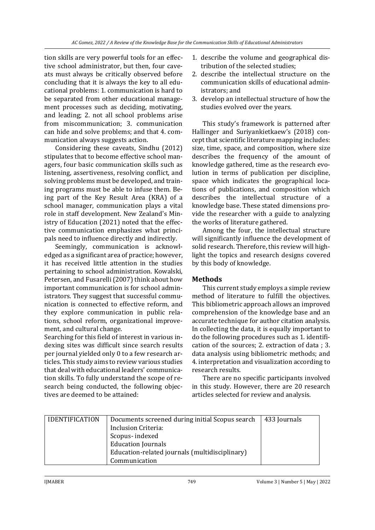tion skills are very powerful tools for an effective school administrator, but then, four caveats must always be critically observed before concluding that it is always the key to all educational problems: 1. communication is hard to be separated from other educational management processes such as deciding, motivating, and leading; 2. not all school problems arise from miscommunication; 3. communication can hide and solve problems; and that 4. communication always suggests action.

Considering these caveats, Sindhu (2012) stipulates that to become effective school managers, four basic communication skills such as listening, assertiveness, resolving conflict, and solving problems must be developed, and training programs must be able to infuse them. Being part of the Key Result Area (KRA) of a school manager, communication plays a vital role in staff development. New Zealand's Ministry of Education (2021) noted that the effective communication emphasizes what principals need to influence directly and indirectly.

Seemingly, communication is acknowledged as a significant area of practice; however, it has received little attention in the studies pertaining to school administration. Kowalski, Petersen, and Fusarelli (2007) think about how important communication is for school administrators. They suggest that successful communication is connected to effective reform, and they explore communication in public relations, school reform, organizational improvement, and cultural change.

Searching for this field of interest in various indexing sites was difficult since search results per journal yielded only 0 to a few research articles. This study aims to review various studies that deal with educational leaders' communication skills. To fully understand the scope of research being conducted, the following objectives are deemed to be attained:

- 1. describe the volume and geographical distribution of the selected studies;
- 2. describe the intellectual structure on the communication skills of educational administrators; and
- 3. develop an intellectual structure of how the studies evolved over the years.

This study's framework is patterned after Hallinger and Suriyankietkaew's (2018) concept that scientific literature mapping includes: size, time, space, and composition, where size describes the frequency of the amount of knowledge gathered, time as the research evolution in terms of publication per discipline, space which indicates the geographical locations of publications, and composition which describes the intellectual structure of a knowledge base. These stated dimensions provide the researcher with a guide to analyzing the works of literature gathered.

Among the four, the intellectual structure will significantly influence the development of solid research. Therefore, this review will highlight the topics and research designs covered by this body of knowledge.

# **Methods**

This current study employs a simple review method of literature to fulfill the objectives. This bibliometric approach allows an improved comprehension of the knowledge base and an accurate technique for author citation analysis. In collecting the data, it is equally important to do the following procedures such as 1. identification of the sources; 2. extraction of data ; 3. data analysis using bibliometric methods; and 4. interpretation and visualization according to research results.

There are no specific participants involved in this study. However, there are 20 research articles selected for review and analysis.

| <b>IDENTIFICATION</b> | Documents screened during initial Scopus search | 433 Journals |
|-----------------------|-------------------------------------------------|--------------|
|                       | Inclusion Criteria:                             |              |
|                       | Scopus-indexed                                  |              |
|                       | <b>Education Journals</b>                       |              |
|                       | Education-related journals (multidisciplinary)  |              |
|                       | Communication                                   |              |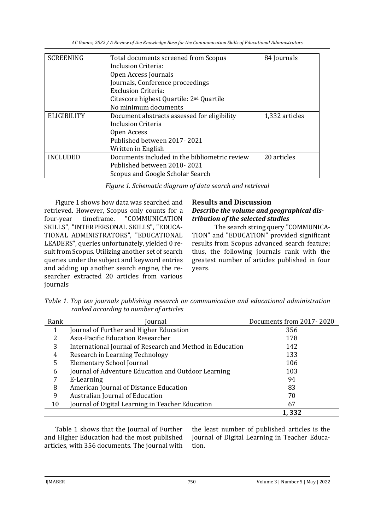| <b>SCREENING</b>   | Total documents screened from Scopus                 | 84 Journals    |
|--------------------|------------------------------------------------------|----------------|
|                    | Inclusion Criteria:                                  |                |
|                    | Open Access Journals                                 |                |
|                    | Journals, Conference proceedings                     |                |
|                    | Exclusion Criteria:                                  |                |
|                    | Citescore highest Quartile: 2 <sup>nd</sup> Quartile |                |
|                    | No minimum documents                                 |                |
| <b>ELIGIBILITY</b> | Document abstracts assessed for eligibility          | 1,332 articles |
|                    | Inclusion Criteria                                   |                |
|                    | Open Access                                          |                |
|                    | Published between 2017-2021                          |                |
|                    | Written in English                                   |                |
| <b>INCLUDED</b>    | Documents included in the bibliometric review        | 20 articles    |
|                    | Published between 2010-2021                          |                |
|                    | Scopus and Google Scholar Search                     |                |

*Figure 1. Schematic diagram of data search and retrieval*

Figure 1 shows how data was searched and retrieved. However, Scopus only counts for a four-year timeframe. "COMMUNICATION SKILLS", "INTERPERSONAL SKILLS", "EDUCA-TIONAL ADMINISTRATORS", "EDUCATIONAL LEADERS", queries unfortunately, yielded 0 result from Scopus. Utilizing another set of search queries under the subject and keyword entries and adding up another search engine, the researcher extracted 20 articles from various journals

## **Results and Discussion** *Describe the volume and geographical distribution of the selected studies*

The search string query "COMMUNICA-TION" and "EDUCATION" provided significant results from Scopus advanced search feature; thus, the following journals rank with the greatest number of articles published in four years.

*Table 1. Top ten journals publishing research on communication and educational administration ranked according to number of articles*

| Rank | Journal                                                   | Documents from 2017-2020 |
|------|-----------------------------------------------------------|--------------------------|
| 1    | Journal of Further and Higher Education                   | 356                      |
| ר    | Asia-Pacific Education Researcher                         | 178                      |
| 3    | International Journal of Research and Method in Education | 142                      |
| 4    | Research in Learning Technology                           | 133                      |
| 5    | <b>Elementary School Journal</b>                          | 106                      |
| 6    | Journal of Adventure Education and Outdoor Learning       | 103                      |
|      | E-Learning                                                | 94                       |
| 8    | American Journal of Distance Education                    | 83                       |
| 9    | Australian Journal of Education                           | 70                       |
| 10   | Journal of Digital Learning in Teacher Education          | 67                       |
|      |                                                           | 1,332                    |

Table 1 shows that the Journal of Further and Higher Education had the most published articles, with 356 documents. The journal with the least number of published articles is the Journal of Digital Learning in Teacher Education.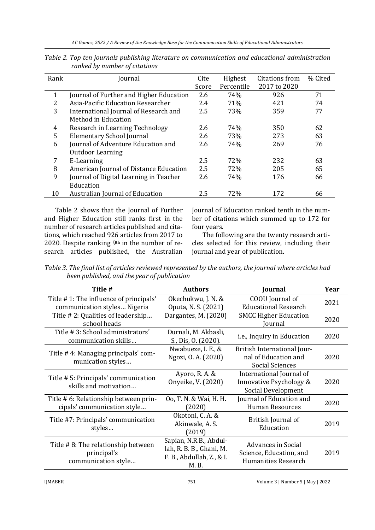| Rank | Journal                                 | Cite  | Highest    | Citations from | % Cited |
|------|-----------------------------------------|-------|------------|----------------|---------|
|      |                                         |       |            |                |         |
|      |                                         | Score | Percentile | 2017 to 2020   |         |
| 1    | Journal of Further and Higher Education | 2.6   | 74%        | 926            | 71      |
| 2    | Asia-Pacific Education Researcher       | 2.4   | 71%        | 421            | 74      |
| 3    | International Journal of Research and   | 2.5   | 73%        | 359            | 77      |
|      | Method in Education                     |       |            |                |         |
| 4    | Research in Learning Technology         | 2.6   | 74%        | 350            | 62      |
| 5    | <b>Elementary School Journal</b>        | 2.6   | 73%        | 273            | 63      |
| 6    | Journal of Adventure Education and      | 2.6   | 74%        | 269            | 76      |
|      | <b>Outdoor Learning</b>                 |       |            |                |         |
| 7    | E-Learning                              | 2.5   | 72%        | 232            | 63      |
| 8    | American Journal of Distance Education  | 2.5   | 72%        | 205            | 65      |
| 9    | Journal of Digital Learning in Teacher  | 2.6   | 74%        | 176            | 66      |
|      | Education                               |       |            |                |         |
| 10   | Australian Journal of Education         | 2.5   | 72%        | 172            | 66      |

*Table 2. Top ten journals publishing literature on communication and educational administration ranked by number of citations*

Table 2 shows that the Journal of Further and Higher Education still ranks first in the number of research articles published and citations, which reached 926 articles from 2017 to 2020. Despite ranking 9th in the number of research articles published, the Australian

Journal of Education ranked tenth in the number of citations which summed up to 172 for four years.

The following are the twenty research articles selected for this review, including their journal and year of publication.

*Table 3. The final list of articles reviewed represented by the authors, the journal where articles had been published, and the year of publication*

| Title #                                                                  | <b>Authors</b>                                                                          | Journal                                                                     | Year |
|--------------------------------------------------------------------------|-----------------------------------------------------------------------------------------|-----------------------------------------------------------------------------|------|
| Title #1: The influence of principals'<br>communication styles Nigeria   | Okechukwu, J. N. &<br>Oputa, N. S. (2021)                                               | COOU Journal of<br><b>Educational Research</b>                              | 2021 |
| Title #2: Qualities of leadership<br>school heads                        | Dargantes, M. (2020)                                                                    | <b>SMCC Higher Education</b><br>Journal                                     | 2020 |
| Title # 3: School administrators'<br>communication skills                | Durnali, M. Akbasli,<br>S., Dis, O. (2020).                                             | i.e., Inquiry in Education                                                  | 2020 |
| Title #4: Managing principals' com-<br>munication styles                 | Nwabueze, I. E., &<br>Ngozi, O. A. (2020)                                               | British International Jour-<br>nal of Education and<br>Social Sciences      | 2020 |
| Title # 5: Principals' communication<br>skills and motivation            | Ayoro, R. A. &<br>Onyeike, V. (2020)                                                    | International Journal of<br>Innovative Psychology &<br>Social Development   | 2020 |
| Title # 6: Relationship between prin-<br>cipals' communication style     | 00, T. N. & Wai, H. H.<br>(2020)                                                        | Journal of Education and<br><b>Human Resources</b>                          | 2020 |
| Title #7: Principals' communication<br>styles                            | Okotoni, C. A. &<br>Akinwale, A. S.<br>(2019)                                           | British Journal of<br>Education                                             | 2019 |
| Title #8: The relationship between<br>principal's<br>communication style | Sapian, N.R.B., Abdul-<br>lah, R. B. B., Ghani, M.<br>F. B., Abdullah, Z., & I.<br>M.B. | <b>Advances in Social</b><br>Science, Education, and<br>Humanities Research | 2019 |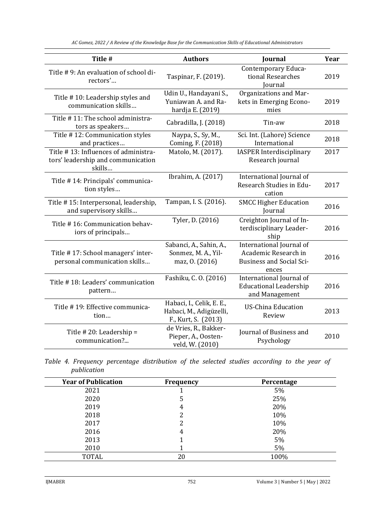**Title # Authors Journal Year** Title # 9: An evaluation of school directors'...<br>rectors'... Taspinar, F. (2019). Contemporary Educational Researches Journal 2019 Title # 10: Leadership styles and communication skills… Udin U., Handayani S., Yuniawan A. and Rahardja E. (2019) Organizations and Markets in Emerging Economies 2019 Title # 11: The school administrators as speakers...<br>tors as speakers...<br>cabradilla, J. (2018) Tin-aw 2018 Title # 12: Communication styles and practices… Naypa, S., Sy, M., Coming, F. (2018) Sci. Int. (Lahore) Science International 2018 Title # 13: Influences of administrators' leadership and communication skills… Matolo, M. (2017). IASPER Interdisciplinary Research journal 2017 Title # 14: Principals' communication styles… Ibrahim, A. (2017) International Journal of Research Studies in Education 2017 Title # 15: Interpersonal, leadership, and supervisory skills… Tampan, I. S. (2016). SMCC Higher Education Journal <sup>2016</sup> Title # 16: Communication behaviors of principals… Tyler, D. (2016) Creighton Journal of Interdisciplinary Leadership 2016 Title # 17: School managers' interpersonal communication skills… Sabanci, A., Sahin, A., Sonmez, M. A., Yilmaz, O. (2016) International Journal of Academic Research in Business and Social Sciences 2016 Title # 18: Leaders' communication pattern… Fashiku, C. O. (2016) International Journal of Educational Leadership and Management 2016 Title # 19: Effective communication… Habaci, I., Celik, E. E., Habaci, M., Adigüzelli, F., Kurt, S. (2013) US-China Education nna Education<br>Review 2013 Title # 20: Leadership = communication?... de Vries, R., Bakker-Pieper, A., Oostenveld, W. (2010) Journal of Business and at of Business and 2010<br>Psychology

*AC Gomez, 2022 / A Review of the Knowledge Base for the Communication Skills of Educational Administrators*

*Table 4. Frequency percentage distribution of the selected studies according to the year of publication*

| <b>Year of Publication</b> | Frequency | Percentage |
|----------------------------|-----------|------------|
| 2021                       |           | 5%         |
| 2020                       | 5         | 25%        |
| 2019                       | 4         | 20%        |
| 2018                       |           | 10%        |
| 2017                       |           | 10%        |
| 2016                       | 4         | 20%        |
| 2013                       |           | 5%         |
| 2010                       |           | 5%         |
| <b>TOTAL</b>               | 20        | 100%       |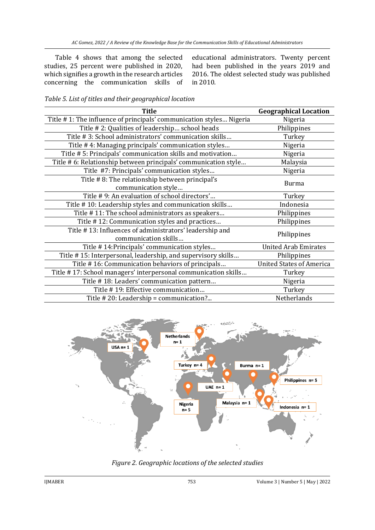Table 4 shows that among the selected studies, 25 percent were published in 2020, which signifies a growth in the research articles concerning the communication skills of educational administrators. Twenty percent had been published in the years 2019 and 2016. The oldest selected study was published in 2010.

| <b>Title</b>                                                                    | <b>Geographical Location</b>    |
|---------------------------------------------------------------------------------|---------------------------------|
| Title #1: The influence of principals' communication styles Nigeria             | Nigeria                         |
| Title #2: Qualities of leadership school heads                                  | Philippines                     |
| Title #3: School administrators' communication skills                           | Turkey                          |
| Title #4: Managing principals' communication styles                             | Nigeria                         |
| Title # 5: Principals' communication skills and motivation                      | Nigeria                         |
| Title # 6: Relationship between principals' communication style                 | Malaysia                        |
| Title #7: Principals' communication styles                                      | Nigeria                         |
| Title #8: The relationship between principal's<br>communication style           | <b>Burma</b>                    |
| Title #9: An evaluation of school directors'                                    | Turkey                          |
| Title #10: Leadership styles and communication skills                           | Indonesia                       |
| Title #11: The school administrators as speakers                                | Philippines                     |
| Title #12: Communication styles and practices                                   | Philippines                     |
| Title #13: Influences of administrators' leadership and<br>communication skills | Philippines                     |
| Title #14: Principals' communication styles                                     | <b>United Arab Emirates</b>     |
| Title #15: Interpersonal, leadership, and supervisory skills                    | Philippines                     |
| Title #16: Communication behaviors of principals                                | <b>United States of America</b> |
| Title #17: School managers' interpersonal communication skills                  | Turkey                          |
| Title #18: Leaders' communication pattern                                       | Nigeria                         |
| Title #19: Effective communication                                              | Turkey                          |
| Title # 20: Leadership = communication?                                         | Netherlands                     |

*Table 5. List of titles and their geographical location*



*Figure 2. Geographic locations of the selected studies*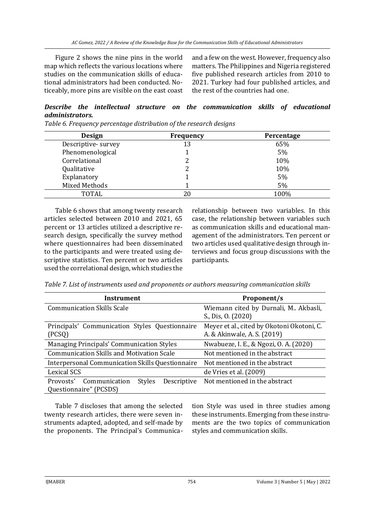Figure 2 shows the nine pins in the world map which reflects the various locations where studies on the communication skills of educational administrators had been conducted. Noticeably, more pins are visible on the east coast

and a few on the west. However, frequency also matters. The Philippines and Nigeria registered five published research articles from 2010 to 2021. Turkey had four published articles, and the rest of the countries had one.

# *Describe the intellectual structure on the communication skills of educational administrators.*

| <b>Design</b>      | <b>Frequency</b> | Percentage |
|--------------------|------------------|------------|
| Descriptive-survey | 13               | 65%        |
| Phenomenological   |                  | 5%         |
| Correlational      |                  | 10%        |
| Qualitative        |                  | 10%        |
| Explanatory        |                  | 5%         |
| Mixed Methods      |                  | 5%         |
| <b>TOTAL</b>       | 20               | 100%       |

*Table 6. Frequency percentage distribution of the research designs*

Table 6 shows that among twenty research articles selected between 2010 and 2021, 65 percent or 13 articles utilized a descriptive research design, specifically the survey method where questionnaires had been disseminated to the participants and were treated using descriptive statistics. Ten percent or two articles used the correlational design, which studies the

relationship between two variables. In this case, the relationship between variables such as communication skills and educational management of the administrators. Ten percent or two articles used qualitative design through interviews and focus group discussions with the participants.

*Table 7. List of instruments used and proponents or authors measuring communication skills*

| Instrument                                                                           | Proponent/s                                                               |
|--------------------------------------------------------------------------------------|---------------------------------------------------------------------------|
| <b>Communication Skills Scale</b>                                                    | Wiemann cited by Durnali, M Akbasli,<br>S., Dis, O. (2020)                |
| Principals' Communication Styles Questionnaire<br>(PCSQ)                             | Meyer et al., cited by Okotoni Okotoni, C.<br>A. & Akinwale, A. S. (2019) |
| Managing Principals' Communication Styles                                            | Nwabueze, I. E., & Ngozi, O. A. (2020)                                    |
| <b>Communication Skills and Motivation Scale</b>                                     | Not mentioned in the abstract                                             |
| <b>Interpersonal Communication Skills Questionnaire</b>                              | Not mentioned in the abstract                                             |
| <b>Lexical SCS</b>                                                                   | de Vries et al. (2009)                                                    |
| <b>Styles</b><br>Communication<br>Descriptive<br>Provosts'<br>Questionnaire" (PCSDS) | Not mentioned in the abstract                                             |

Table 7 discloses that among the selected twenty research articles, there were seven instruments adapted, adopted, and self-made by the proponents. The Principal's Communication Style was used in three studies among these instruments. Emerging from these instruments are the two topics of communication styles and communication skills.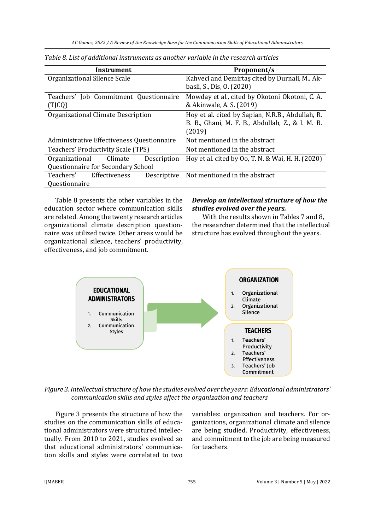| Instrument                                       | Proponent/s                                                                                                    |  |
|--------------------------------------------------|----------------------------------------------------------------------------------------------------------------|--|
| Organizational Silence Scale                     | Kahveci and Demirtas cited by Durnali, M Ak-<br>basli, S., Dis, O. (2020)                                      |  |
| Teachers' Job Commitment Questionnaire<br>(TJCQ) | Mowday et al., cited by Okotoni Okotoni, C. A.<br>& Akinwale, A. S. (2019)                                     |  |
| Organizational Climate Description               | Hoy et al. cited by Sapian, N.R.B., Abdullah, R.<br>B. B., Ghani, M. F. B., Abdullah, Z., & I. M. B.<br>(2019) |  |
| Administrative Effectiveness Questionnaire       | Not mentioned in the abstract                                                                                  |  |
| Teachers' Productivity Scale (TPS)               | Not mentioned in the abstract                                                                                  |  |
| Description<br>Organizational<br>Climate         | Hoy et al. cited by Oo, T. N. & Wai, H. H. (2020)                                                              |  |
| Questionnaire for Secondary School               |                                                                                                                |  |
| Effectiveness<br>Teachers'<br>Descriptive        | Not mentioned in the abstract                                                                                  |  |
| Questionnaire                                    |                                                                                                                |  |

*Table 8. List of additional instruments as another variable in the research articles*

Table 8 presents the other variables in the education sector where communication skills are related. Among the twenty research articles organizational climate description questionnaire was utilized twice. Other areas would be organizational silence, teachers' productivity, effectiveness, and job commitment.

## *Develop an intellectual structure of how the studies evolved over the years.*

With the results shown in Tables 7 and 8, the researcher determined that the intellectual structure has evolved throughout the years.



*Figure 3. Intellectual structure of how the studies evolved over the years: Educational administrators' communication skills and styles affect the organization and teachers*

Figure 3 presents the structure of how the studies on the communication skills of educational administrators were structured intellectually. From 2010 to 2021, studies evolved so that educational administrators' communication skills and styles were correlated to two variables: organization and teachers. For organizations, organizational climate and silence are being studied. Productivity, effectiveness, and commitment to the job are being measured for teachers.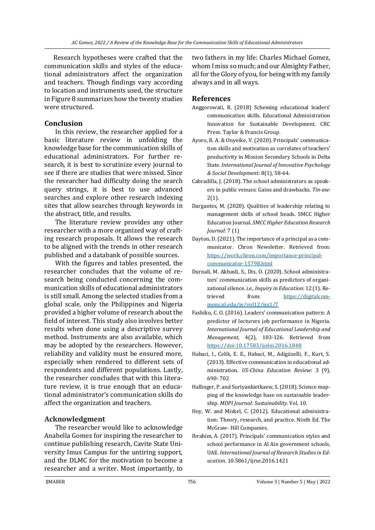Research hypotheses were crafted that the communication skills and styles of the educational administrators affect the organization and teachers. Though findings vary according to location and instruments used, the structure in Figure 8 summarizes how the twenty studies were structured.

## **Conclusion**

In this review, the researcher applied for a basic literature review in unfolding the knowledge base for the communication skills of educational administrators. For further research, it is best to scrutinize every journal to see if there are studies that were missed. Since the researcher had difficulty doing the search query strings, it is best to use advanced searches and explore other research indexing sites that allow searches through keywords in the abstract, title, and results.

The literature review provides any other researcher with a more organized way of crafting research proposals. It allows the research to be aligned with the trends in other research published and a databank of possible sources.

With the figures and tables presented, the researcher concludes that the volume of research being conducted concerning the communication skills of educational administrators is still small. Among the selected studies from a global scale, only the Philippines and Nigeria provided a higher volume of research about the field of interest. This study also involves better results when done using a descriptive survey method. Instruments are also available, which may be adopted by the researchers. However, reliability and validity must be ensured more, especially when rendered to different sets of respondents and different populations. Lastly, the researcher concludes that with this literature review, it is true enough that an educational administrator's communication skills do affect the organization and teachers.

## **Acknowledgment**

The researcher would like to acknowledge Anabella Gomez for inspiring the researcher to continue publishing research, Cavite State University Imus Campus for the untiring support, and the DLMC for the motivation to become a researcher and a writer. Most importantly, to

two fathers in my life: Charles Michael Gomez, whom I miss so much; and our Almighty Father, all for the Glory of you, for being with my family always and in all ways.

#### **References**

- Anggorowati, R. (2018) Scheming educational leaders' communication skills. Educational Administration Innovation for Sustainable Development. CRC Press. Taylor & Francis Group.
- Ayoro, R. A. & Onyeike, V. (2020). Principals' communication skills and motivation as correlates of teachers' productivity in Mission Secondary Schools in Delta State. *International Journal of Innovative Psychology & Social Development*: 8(1), 58-64.
- Cabradilla, J. (2018). The school administrators as speakers in public venues: Gains and drawbacks. *Tin-aw:* 2(1).
- Dargantes, M. (2020). Qualities of leadership relating to management skills of school heads. SMCC Higher Education Journal. *SMCC Higher Education Research Journal*: 7 (1)
- Dayton, D. (2021). The importance of a principal as a communicator. Chron Newsletter. Retrieved from: [https://work.chron.com/importance-principal](https://work.chron.com/importance-principal-communicator-15798.html)[communicator-15798.html](https://work.chron.com/importance-principal-communicator-15798.html)
- Durnali, M. Akbasli, S., Dis, O. (2020). School administrators' communication skills as predictors of organizational silence. *i.e., Inquiry in Education*: 12 (1). Retrieved from: [https://digitalcom](https://digitalcommons.nl.edu/ie/vol12/iss1/7)[mons.nl.edu/ie/vol12/iss1/7](https://digitalcommons.nl.edu/ie/vol12/iss1/7)
- Fashiku, C. O. (2016). Leaders' communication pattern: A predictor of lecturers job performance in Nigeria. *International Journal of Educational Leadership and Management*, 4(2), 103-126. Retrieved from <https://doi:10.17583/ijelm.2016.1848>
- Habaci, I., Celik, E. E., Habaci, M., Adigüzelli, F., Kurt, S. (2013). Effective communication in educational administration. *US-China Education Review*: 3 (9), 690- 702
- Hallinger, P. and Suriyankietkaew, S. (2018). Science mapping of the knowledge base on sustainable leadership. *MDPI Journal: Sustainability*. Vol. 10.
- Hoy, W. and Miskel, C. (2012). Educational administration: Theory, research, and practice. Ninth Ed. The McGraw- Hill Companies.
- Ibrahim, A. (2017). Principals' communication styles and school performance in Al Ain government schools, UAE. *International Journal of Research Studies in Education*. 10.5861/ijrse.2016.1421